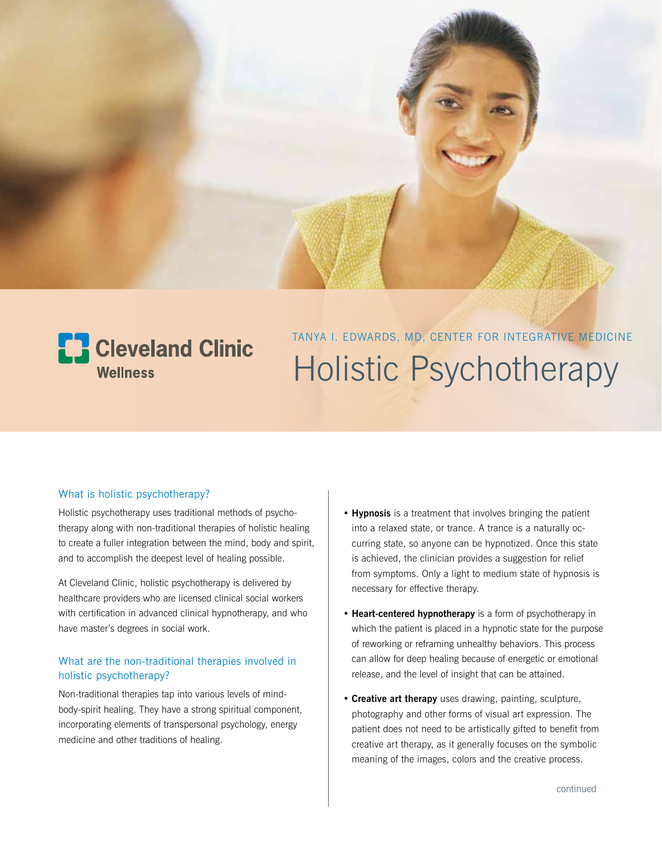

# **E.** Cleveland Clinic **Wellness**

TANYA I. EDWARDS, MD, CENTER FOR INTEGRATIVE MEDICINE Holistic Psychotherapy

## What is holistic psychotherapy?

Holistic psychotherapy uses traditional methods of psychotherapy along with non-traditional therapies of holistic healing to create a fuller integration between the mind, body and spirit, and to accomplish the deepest level of healing possible.

At Cleveland Clinic, holistic psychotherapy is delivered by healthcare providers who are licensed clinical social workers with certification in advanced clinical hypnotherapy, and who have master's degrees in social work.

### What are the non-traditional therapies involved in holistic psychotherapy?

Non-traditional therapies tap into various levels of mindbody-spirit healing. They have a strong spiritual component, incorporating elements of transpersonal psychology, energy medicine and other traditions of healing.

- **Hypnosis** is a treatment that involves bringing the patient into a relaxed state, or trance. A trance is a naturally occurring state, so anyone can be hypnotized. Once this state is achieved, the clinician provides a suggestion for relief from symptoms. Only a light to medium state of hypnosis is necessary for effective therapy.
- **Heart-centered hypnotherapy** is a form of psychotherapy in which the patient is placed in a hypnotic state for the purpose of reworking or reframing unhealthy behaviors. This process can allow for deep healing because of energetic or emotional release, and the level of insight that can be attained.
- **Creative art therapy** uses drawing, painting, sculpture, photography and other forms of visual art expression. The patient does not need to be artistically gifted to benefit from creative art therapy, as it generally focuses on the symbolic meaning of the images, colors and the creative process.